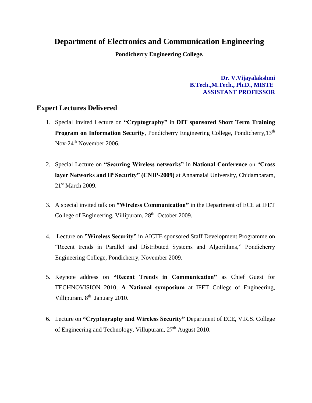## **Department of Electronics and Communication Engineering**

**Pondicherry Engineering College.**

**Dr. V.Vijayalakshmi B.Tech.,M.Tech., Ph.D., MISTE ASSISTANT PROFESSOR**

## **Expert Lectures Delivered**

- 1. Special Invited Lecture on **"Cryptography"** in **DIT sponsored Short Term Training Program on Information Security**, Pondicherry Engineering College, Pondicherry, 13<sup>th</sup> Nov-24th November 2006.
- 2. Special Lecture on **"Securing Wireless networks"** in **National Conference** on "**Cross layer Networks and IP Security" (CNIP-2009)** at Annamalai University, Chidambaram, 21<sup>st</sup> March 2009.
- 3. A special invited talk on **"Wireless Communication"** in the Department of ECE at IFET College of Engineering, Villipuram, 28<sup>th</sup> October 2009.
- 4. Lecture on **"Wireless Security"** in AICTE sponsored Staff Development Programme on "Recent trends in Parallel and Distributed Systems and Algorithms," Pondicherry Engineering College, Pondicherry, November 2009.
- 5. Keynote address on **"Recent Trends in Communication"** as Chief Guest for TECHNOVISION 2010, **A National symposium** at IFET College of Engineering, Villipuram. 8<sup>th</sup> January 2010.
- 6. Lecture on **"Cryptography and Wireless Security"** Department of ECE, V.R.S. College of Engineering and Technology, Villupuram, 27<sup>th</sup> August 2010.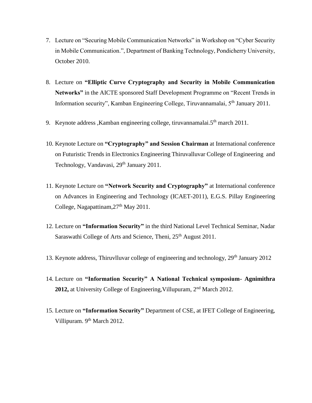- 7. Lecture on "Securing Mobile Communication Networks" in Workshop on "Cyber Security in Mobile Communication.", Department of Banking Technology, Pondicherry University, October 2010.
- 8. Lecture on **"Elliptic Curve Cryptography and Security in Mobile Communication Networks"** in the AICTE sponsored Staff Development Programme on "Recent Trends in Information security", Kamban Engineering College, Tiruvannamalai, 5th January 2011.
- 9. Keynote address, Kamban engineering college, tiruvannamalai. $5<sup>th</sup>$  march 2011.
- 10. Keynote Lecture on **"Cryptography" and Session Chairman** at International conference on Futuristic Trends in Electronics Engineering Thiruvalluvar College of Engineering and Technology, Vandavasi, 29<sup>th</sup> January 2011.
- 11. Keynote Lecture on **"Network Security and Cryptography"** at International conference on Advances in Engineering and Technology (ICAET-2011), E.G.S. Pillay Engineering College, Nagapattinam,  $27<sup>th</sup>$  May 2011.
- 12. Lecture on **"Information Security"** in the third National Level Technical Seminar, Nadar Saraswathi College of Arts and Science, Theni, 25<sup>th</sup> August 2011.
- 13. Keynote address, Thiruvlluvar college of engineering and technology,  $29<sup>th</sup>$  January 2012
- 14. Lecture on **"Information Security" A National Technical symposium- Agnimithra 2012,** at University College of Engineering,Villupuram, 2nd March 2012.
- 15. Lecture on **"Information Security"** Department of CSE, at IFET College of Engineering, Villipuram. 9<sup>th</sup> March 2012.